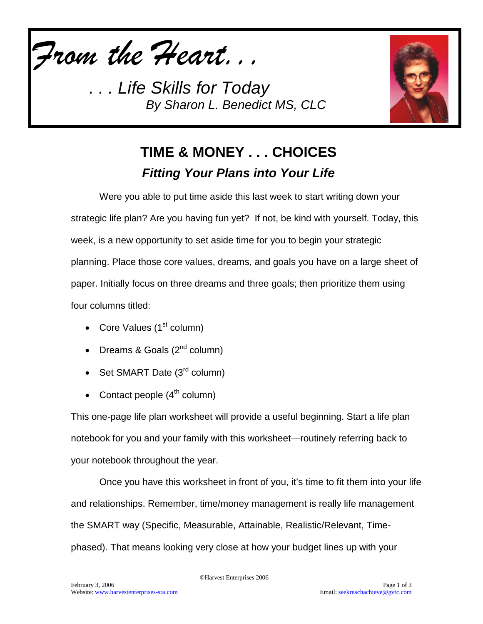

*. . . Life Skills for Today By Sharon L. Benedict MS, CLC*



## **TIME & MONEY . . . CHOICES** *Fitting Your Plans into Your Life*

Were you able to put time aside this last week to start writing down your strategic life plan? Are you having fun yet? If not, be kind with yourself. Today, this week, is a new opportunity to set aside time for you to begin your strategic planning. Place those core values, dreams, and goals you have on a large sheet of paper. Initially focus on three dreams and three goals; then prioritize them using four columns titled:

- Core Values  $(1<sup>st</sup>$  column)
- Dreams & Goals  $(2^{nd}$  column)
- Set SMART Date  $(3<sup>rd</sup>$  column)
- Contact people  $(4<sup>th</sup>$  column)

This one-page life plan worksheet will provide a useful beginning. Start a life plan notebook for you and your family with this worksheet—routinely referring back to your notebook throughout the year.

Once you have this worksheet in front of you, it's time to fit them into your life and relationships. Remember, time/money management is really life management the SMART way (Specific, Measurable, Attainable, Realistic/Relevant, Timephased). That means looking very close at how your budget lines up with your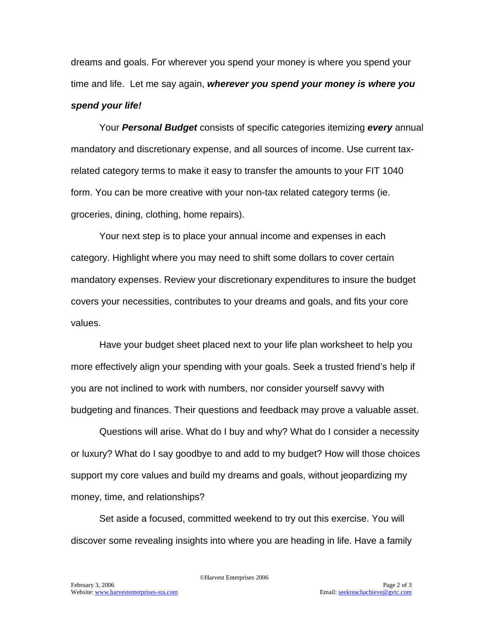dreams and goals. For wherever you spend your money is where you spend your time and life. Let me say again, *wherever you spend your money is where you spend your life!*

Your *Personal Budget* consists of specific categories itemizing *every* annual mandatory and discretionary expense, and all sources of income. Use current taxrelated category terms to make it easy to transfer the amounts to your FIT 1040 form. You can be more creative with your non-tax related category terms (ie. groceries, dining, clothing, home repairs).

Your next step is to place your annual income and expenses in each category. Highlight where you may need to shift some dollars to cover certain mandatory expenses. Review your discretionary expenditures to insure the budget covers your necessities, contributes to your dreams and goals, and fits your core values.

Have your budget sheet placed next to your life plan worksheet to help you more effectively align your spending with your goals. Seek a trusted friend's help if you are not inclined to work with numbers, nor consider yourself savvy with budgeting and finances. Their questions and feedback may prove a valuable asset.

Questions will arise. What do I buy and why? What do I consider a necessity or luxury? What do I say goodbye to and add to my budget? How will those choices support my core values and build my dreams and goals, without jeopardizing my money, time, and relationships?

Set aside a focused, committed weekend to try out this exercise. You will discover some revealing insights into where you are heading in life. Have a family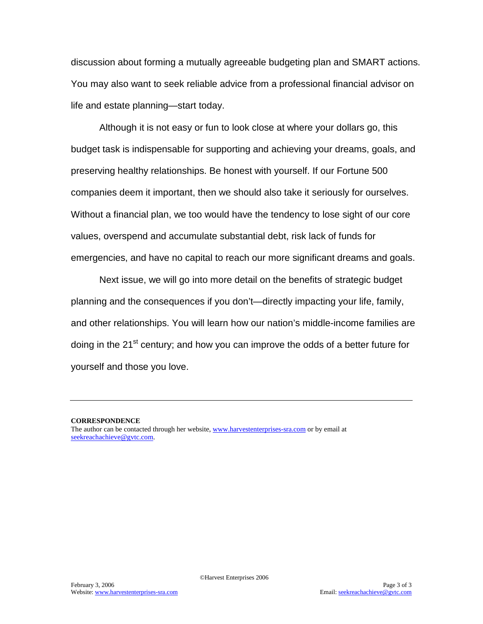discussion about forming a mutually agreeable budgeting plan and SMART actions. You may also want to seek reliable advice from a professional financial advisor on life and estate planning—start today.

Although it is not easy or fun to look close at where your dollars go, this budget task is indispensable for supporting and achieving your dreams, goals, and preserving healthy relationships. Be honest with yourself. If our Fortune 500 companies deem it important, then we should also take it seriously for ourselves. Without a financial plan, we too would have the tendency to lose sight of our core values, overspend and accumulate substantial debt, risk lack of funds for emergencies, and have no capital to reach our more significant dreams and goals.

Next issue, we will go into more detail on the benefits of strategic budget planning and the consequences if you don't—directly impacting your life, family, and other relationships. You will learn how our nation's middle-income families are doing in the 21<sup>st</sup> century; and how you can improve the odds of a better future for yourself and those you love.

**CORRESPONDENCE** The author can be contacted through her website[, www.harvestenterprises-sra.com](http://www.harvestenterprises-sra.com/) or by email at [seekreachachieve@gvtc.com.](mailto:seekreachachieve@gvtc.com)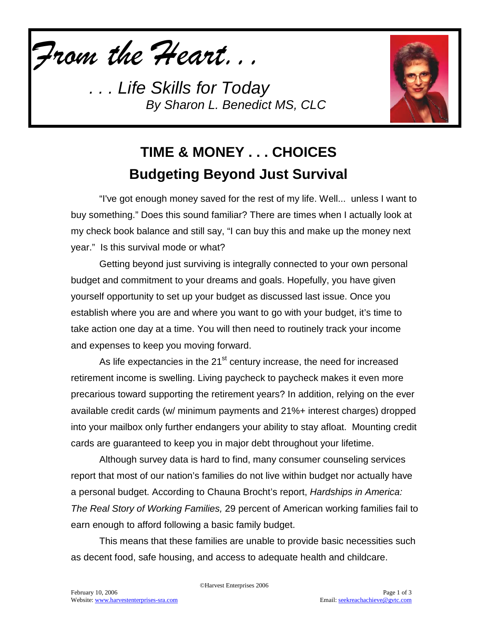*From the Heart...*

*. . . Life Skills for Today By Sharon L. Benedict MS, CLC*



## **TIME & MONEY . . . CHOICES Budgeting Beyond Just Survival**

"I've got enough money saved for the rest of my life. Well... unless I want to buy something." Does this sound familiar? There are times when I actually look at my check book balance and still say, "I can buy this and make up the money next year." Is this survival mode or what?

Getting beyond just surviving is integrally connected to your own personal budget and commitment to your dreams and goals. Hopefully, you have given yourself opportunity to set up your budget as discussed last issue. Once you establish where you are and where you want to go with your budget, it's time to take action one day at a time. You will then need to routinely track your income and expenses to keep you moving forward.

As life expectancies in the 21<sup>st</sup> century increase, the need for increased retirement income is swelling. Living paycheck to paycheck makes it even more precarious toward supporting the retirement years? In addition, relying on the ever available credit cards (w/ minimum payments and 21%+ interest charges) dropped into your mailbox only further endangers your ability to stay afloat. Mounting credit cards are guaranteed to keep you in major debt throughout your lifetime.

Although survey data is hard to find, many consumer counseling services report that most of our nation's families do not live within budget nor actually have a personal budget. According to Chauna Brocht's report, *Hardships in America: The Real Story of Working Families,* 29 percent of American working families fail to earn enough to afford following a basic family budget.

This means that these families are unable to provide basic necessities such as decent food, safe housing, and access to adequate health and childcare.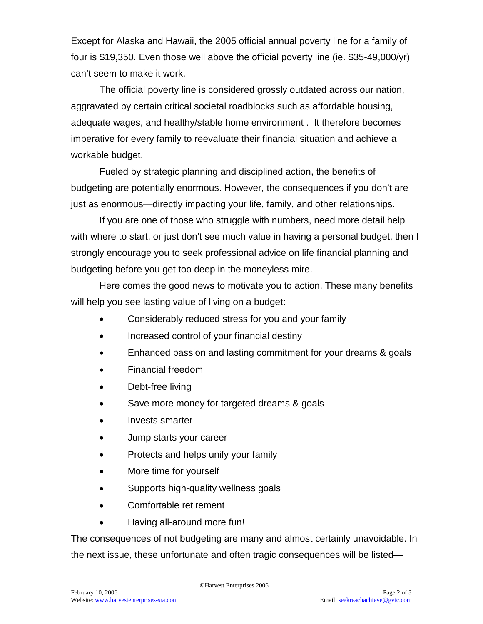Except for Alaska and Hawaii, the 2005 official annual poverty line for a family of four is \$19,350. Even those well above the official poverty line (ie. \$35-49,000/yr) can't seem to make it work.

The official poverty line is considered grossly outdated across our nation, aggravated by certain critical societal roadblocks such as affordable housing, adequate wages, and healthy/stable home environment . It therefore becomes imperative for every family to reevaluate their financial situation and achieve a workable budget.

Fueled by strategic planning and disciplined action, the benefits of budgeting are potentially enormous. However, the consequences if you don't are just as enormous—directly impacting your life, family, and other relationships.

If you are one of those who struggle with numbers, need more detail help with where to start, or just don't see much value in having a personal budget, then I strongly encourage you to seek professional advice on life financial planning and budgeting before you get too deep in the moneyless mire.

Here comes the good news to motivate you to action. These many benefits will help you see lasting value of living on a budget:

- Considerably reduced stress for you and your family
- Increased control of your financial destiny
- Enhanced passion and lasting commitment for your dreams & goals
- Financial freedom
- Debt-free living
- Save more money for targeted dreams & goals
- Invests smarter
- Jump starts your career
- Protects and helps unify your family
- More time for yourself
- Supports high-quality wellness goals
- Comfortable retirement
- Having all-around more fun!

The consequences of not budgeting are many and almost certainly unavoidable. In the next issue, these unfortunate and often tragic consequences will be listed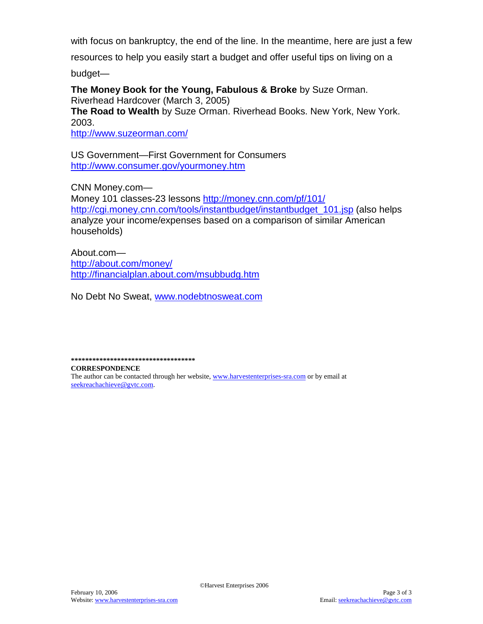with focus on bankruptcy, the end of the line. In the meantime, here are just a few

resources to help you easily start a budget and offer useful tips on living on a

budget—

**The Money Book for the Young, Fabulous & Broke** by Suze Orman. Riverhead Hardcover (March 3, 2005) **The Road to Wealth** by Suze Orman. Riverhead Books. New York, New York. 2003.

<http://www.suzeorman.com/>

US Government—First Government for Consumers <http://www.consumer.gov/yourmoney.htm>

CNN Money.com—

Money 101 classes-23 lessons <http://money.cnn.com/pf/101/> [http://cgi.money.cnn.com/tools/instantbudget/instantbudget\\_101.jsp](http://cgi.money.cnn.com/tools/instantbudget/instantbudget_101.jsp) (also helps analyze your income/expenses based on a comparison of similar American households)

About.com <http://about.com/money/> <http://financialplan.about.com/msubbudg.htm>

No Debt No Sweat, [www.nodebtnosweat.com](http://www.nodebtnosweat.com/)

**\*\*\*\*\*\*\*\*\*\*\*\*\*\*\*\*\*\*\*\*\*\*\*\*\*\*\*\*\*\*\*\*\*\*\***

**CORRESPONDENCE** The author can be contacted through her website[, www.harvestenterprises-sra.com](http://www.harvestenterprises-sra.com/) or by email at [seekreachachieve@gvtc.com.](mailto:seekreachachieve@gvtc.com)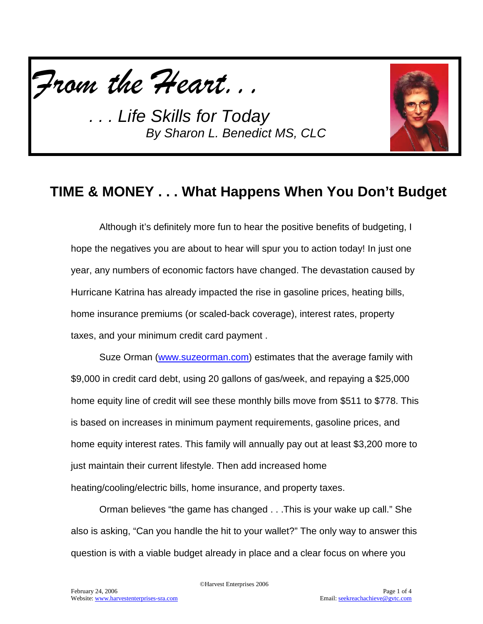

*. . . Life Skills for Today By Sharon L. Benedict MS, CLC*



## **TIME & MONEY . . . What Happens When You Don't Budget**

Although it's definitely more fun to hear the positive benefits of budgeting, I hope the negatives you are about to hear will spur you to action today! In just one year, any numbers of economic factors have changed. The devastation caused by Hurricane Katrina has already impacted the rise in gasoline prices, heating bills, home insurance premiums (or scaled-back coverage), interest rates, property taxes, and your minimum credit card payment .

Suze Orman [\(www.suzeorman.com\)](http://www.suzeorman.com/) estimates that the average family with \$9,000 in credit card debt, using 20 gallons of gas/week, and repaying a \$25,000 home equity line of credit will see these monthly bills move from \$511 to \$778. This is based on increases in minimum payment requirements, gasoline prices, and home equity interest rates. This family will annually pay out at least \$3,200 more to just maintain their current lifestyle. Then add increased home heating/cooling/electric bills, home insurance, and property taxes.

Orman believes "the game has changed . . .This is your wake up call." She also is asking, "Can you handle the hit to your wallet?" The only way to answer this question is with a viable budget already in place and a clear focus on where you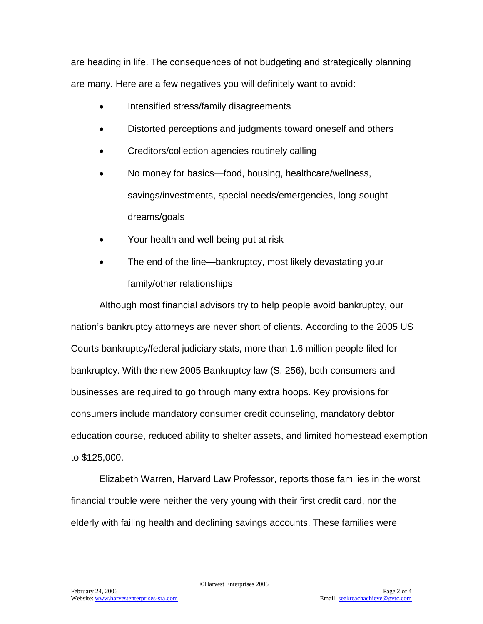are heading in life. The consequences of not budgeting and strategically planning are many. Here are a few negatives you will definitely want to avoid:

- Intensified stress/family disagreements
- Distorted perceptions and judgments toward oneself and others
- Creditors/collection agencies routinely calling
- No money for basics—food, housing, healthcare/wellness, savings/investments, special needs/emergencies, long-sought dreams/goals
- Your health and well-being put at risk
- The end of the line—bankruptcy, most likely devastating your family/other relationships

Although most financial advisors try to help people avoid bankruptcy, our nation's bankruptcy attorneys are never short of clients. According to the 2005 US Courts bankruptcy/federal judiciary stats, more than 1.6 million people filed for bankruptcy. With the new 2005 Bankruptcy law (S. 256), both consumers and businesses are required to go through many extra hoops. Key provisions for consumers include mandatory consumer credit counseling, mandatory debtor education course, reduced ability to shelter assets, and limited homestead exemption to \$125,000.

Elizabeth Warren, Harvard Law Professor, reports those families in the worst financial trouble were neither the very young with their first credit card, nor the elderly with failing health and declining savings accounts. These families were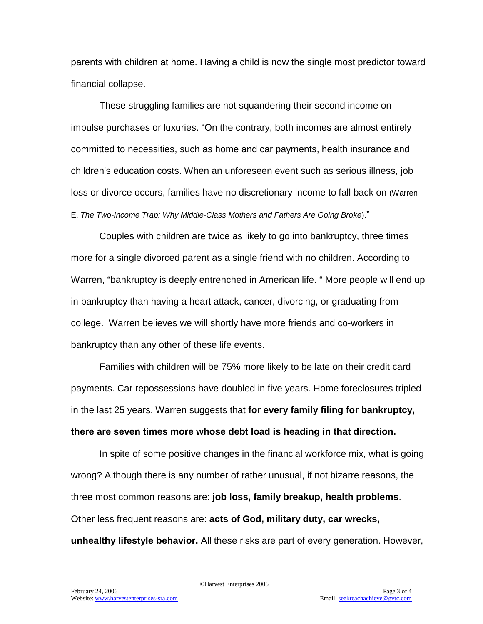parents with children at home. Having a child is now the single most predictor toward financial collapse.

These struggling families are not squandering their second income on impulse purchases or luxuries. "On the contrary, both incomes are almost entirely committed to necessities, such as home and car payments, health insurance and children's education costs. When an unforeseen event such as serious illness, job loss or divorce occurs, families have no discretionary income to fall back on (Warren E. *The Two-Income Trap: Why Middle-Class Mothers and Fathers Are Going Broke*)."

Couples with children are twice as likely to go into bankruptcy, three times more for a single divorced parent as a single friend with no children. According to Warren, "bankruptcy is deeply entrenched in American life. " More people will end up in bankruptcy than having a heart attack, cancer, divorcing, or graduating from college. Warren believes we will shortly have more friends and co-workers in bankruptcy than any other of these life events.

Families with children will be 75% more likely to be late on their credit card payments. Car repossessions have doubled in five years. Home foreclosures tripled in the last 25 years. Warren suggests that **for every family filing for bankruptcy, there are seven times more whose debt load is heading in that direction.**

In spite of some positive changes in the financial workforce mix, what is going wrong? Although there is any number of rather unusual, if not bizarre reasons, the three most common reasons are: **job loss, family breakup, health problems**. Other less frequent reasons are: **acts of God, military duty, car wrecks, unhealthy lifestyle behavior.** All these risks are part of every generation. However,